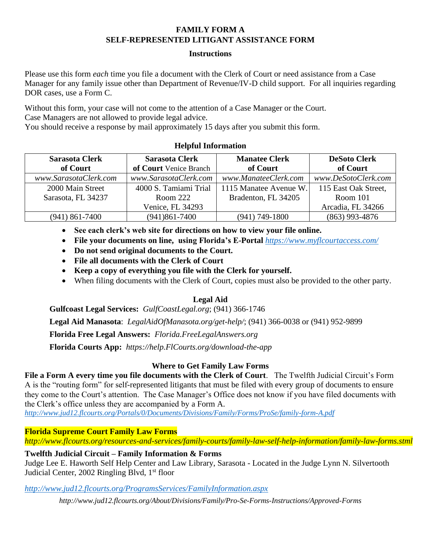### **FAMILY FORM A SELF-REPRESENTED LITIGANT ASSISTANCE FORM**

#### **Instructions**

Please use this form *each* time you file a document with the Clerk of Court or need assistance from a Case Manager for any family issue other than Department of Revenue/IV-D child support. For all inquiries regarding DOR cases, use a Form C.

Without this form, your case will not come to the attention of a Case Manager or the Court. Case Managers are not allowed to provide legal advice.

You should receive a response by mail approximately 15 days after you submit this form.

# **Helpful Information**

| <b>Sarasota Clerk</b> | <b>Sarasota Clerk</b>  | <b>Manatee Clerk</b>   | <b>DeSoto Clerk</b>  |
|-----------------------|------------------------|------------------------|----------------------|
| of Court              | of Court Venice Branch | of Court               | of Court             |
| www.SarasotaClerk.com | www.SarasotaClerk.com  | www.ManateeClerk.com   | www.DeSotoClerk.com  |
| 2000 Main Street      | 4000 S. Tamiami Trial  | 1115 Manatee Avenue W. | 115 East Oak Street, |
| Sarasota, FL 34237    | Room $222$             | Bradenton, FL 34205    | Room $101$           |
|                       | Venice, FL 34293       |                        | Arcadia, FL 34266    |
| $(941)$ 861-7400      | $(941)861 - 7400$      | $(941)$ 749-1800       | $(863)$ 993-4876     |

• **See each clerk's web site for directions on how to view your file online.**

- **File your documents on line, using Florida's E-Portal** *<https://www.myflcourtaccess.com/>*
- **Do not send original documents to the Court.**
- **File all documents with the Clerk of Court**
- **Keep a copy of everything you file with the Clerk for yourself.**
- When filing documents with the Clerk of Court, copies must also be provided to the other party.

## **Legal Aid**

**Gulfcoast Legal Services:** *GulfCoastLegal.org*; (941) 366-1746

**Legal Aid Manasota**: *LegalAidOfManasota.org/get-help/*; (941) 366-0038 or (941) 952-9899

**Florida Free Legal Answers:** *Florida.FreeLegalAnswers.org* 

**Florida Courts App:** *[https://help.FlCourts.org/download-the-app](https://help.flcourts.org/download-the-app)*

## **Where to Get Family Law Forms**

**File a Form A every time you file documents with the Clerk of Court**. The Twelfth Judicial Circuit's Form A is the "routing form" for self-represented litigants that must be filed with every group of documents to ensure they come to the Court's attention. The Case Manager's Office does not know if you have filed documents with the Clerk's office unless they are accompanied by a Form A.

*<http://www.jud12.flcourts.org/Portals/0/Documents/Divisions/Family/Forms/ProSe/family-form-A.pdf>*

**Florida Supreme Court Family Law Forms**

*<http://www.flcourts.org/resources-and-services/family-courts/family-law-self-help-information/family-law-forms.stml>*

**Twelfth Judicial Circuit – Family Information & Forms**

Judge Lee E. Haworth Self Help Center and Law Library, Sarasota - Located in the Judge Lynn N. Silvertooth Judicial Center, 2002 Ringling Blvd, 1<sup>st</sup> floor

*<http://www.jud12.flcourts.org/ProgramsServices/FamilyInformation.aspx>*

*<http://www.jud12.flcourts.org/About/Divisions/Family/Pro-Se-Forms-Instructions/Approved-Forms>*